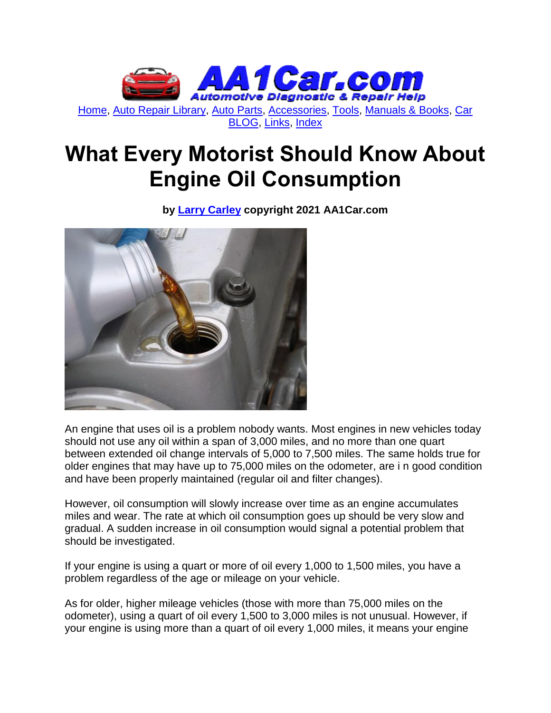

# **What Every Motorist Should Know About Engine Oil Consumption**

**by [Larry Carley](https://www.aa1car.com/larrypage/larrycarley_photos.htm) copyright 2021 AA1Car.com**



An engine that uses oil is a problem nobody wants. Most engines in new vehicles today should not use any oil within a span of 3,000 miles, and no more than one quart between extended oil change intervals of 5,000 to 7,500 miles. The same holds true for older engines that may have up to 75,000 miles on the odometer, are i n good condition and have been properly maintained (regular oil and filter changes).

However, oil consumption will slowly increase over time as an engine accumulates miles and wear. The rate at which oil consumption goes up should be very slow and gradual. A sudden increase in oil consumption would signal a potential problem that should be investigated.

If your engine is using a quart or more of oil every 1,000 to 1,500 miles, you have a problem regardless of the age or mileage on your vehicle.

As for older, higher mileage vehicles (those with more than 75,000 miles on the odometer), using a quart of oil every 1,500 to 3,000 miles is not unusual. However, if your engine is using more than a quart of oil every 1,000 miles, it means your engine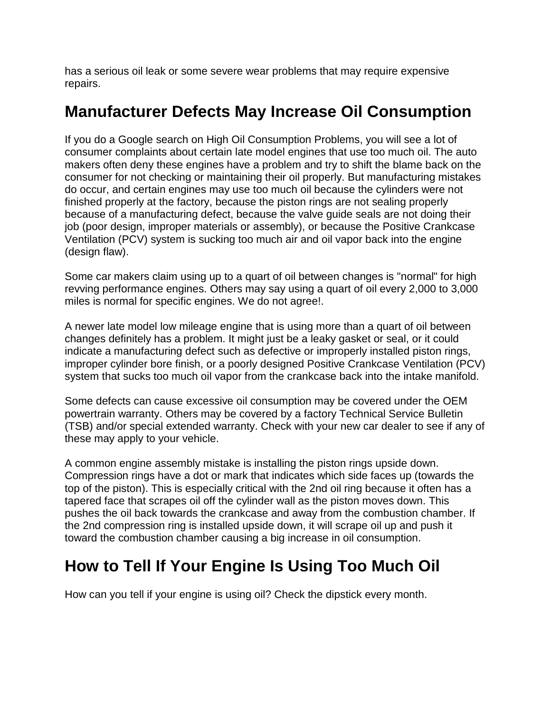has a serious oil leak or some severe wear problems that may require expensive repairs.

### **Manufacturer Defects May Increase Oil Consumption**

If you do a Google search on High Oil Consumption Problems, you will see a lot of consumer complaints about certain late model engines that use too much oil. The auto makers often deny these engines have a problem and try to shift the blame back on the consumer for not checking or maintaining their oil properly. But manufacturing mistakes do occur, and certain engines may use too much oil because the cylinders were not finished properly at the factory, because the piston rings are not sealing properly because of a manufacturing defect, because the valve guide seals are not doing their job (poor design, improper materials or assembly), or because the Positive Crankcase Ventilation (PCV) system is sucking too much air and oil vapor back into the engine (design flaw).

Some car makers claim using up to a quart of oil between changes is "normal" for high revving performance engines. Others may say using a quart of oil every 2,000 to 3,000 miles is normal for specific engines. We do not agree!.

A newer late model low mileage engine that is using more than a quart of oil between changes definitely has a problem. It might just be a leaky gasket or seal, or it could indicate a manufacturing defect such as defective or improperly installed piston rings, improper cylinder bore finish, or a poorly designed Positive Crankcase Ventilation (PCV) system that sucks too much oil vapor from the crankcase back into the intake manifold.

Some defects can cause excessive oil consumption may be covered under the OEM powertrain warranty. Others may be covered by a factory Technical Service Bulletin (TSB) and/or special extended warranty. Check with your new car dealer to see if any of these may apply to your vehicle.

A common engine assembly mistake is installing the piston rings upside down. Compression rings have a dot or mark that indicates which side faces up (towards the top of the piston). This is especially critical with the 2nd oil ring because it often has a tapered face that scrapes oil off the cylinder wall as the piston moves down. This pushes the oil back towards the crankcase and away from the combustion chamber. If the 2nd compression ring is installed upside down, it will scrape oil up and push it toward the combustion chamber causing a big increase in oil consumption.

# **How to Tell If Your Engine Is Using Too Much Oil**

How can you tell if your engine is using oil? Check the dipstick every month.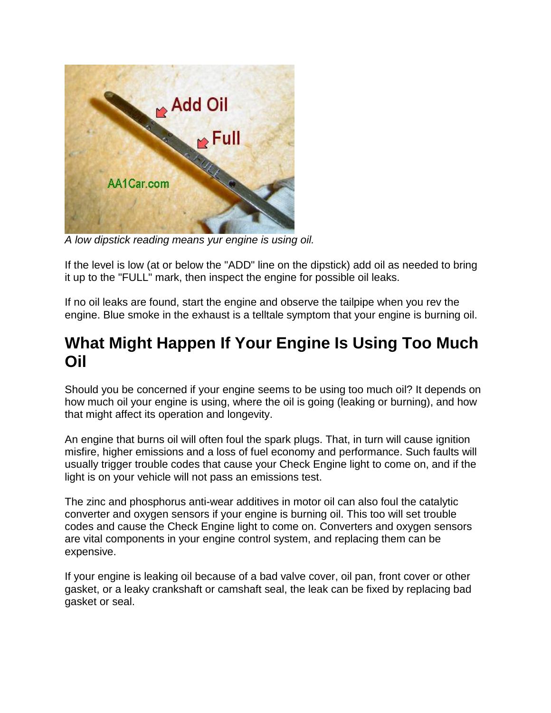

*A low dipstick reading means yur engine is using oil.*

If the level is low (at or below the "ADD" line on the dipstick) add oil as needed to bring it up to the "FULL" mark, then inspect the engine for possible oil leaks.

If no oil leaks are found, start the engine and observe the tailpipe when you rev the engine. Blue smoke in the exhaust is a telltale symptom that your engine is burning oil.

## **What Might Happen If Your Engine Is Using Too Much Oil**

Should you be concerned if your engine seems to be using too much oil? It depends on how much oil your engine is using, where the oil is going (leaking or burning), and how that might affect its operation and longevity.

An engine that burns oil will often foul the spark plugs. That, in turn will cause ignition misfire, higher emissions and a loss of fuel economy and performance. Such faults will usually trigger trouble codes that cause your Check Engine light to come on, and if the light is on your vehicle will not pass an emissions test.

The zinc and phosphorus anti-wear additives in motor oil can also foul the catalytic converter and oxygen sensors if your engine is burning oil. This too will set trouble codes and cause the Check Engine light to come on. Converters and oxygen sensors are vital components in your engine control system, and replacing them can be expensive.

If your engine is leaking oil because of a bad valve cover, oil pan, front cover or other gasket, or a leaky crankshaft or camshaft seal, the leak can be fixed by replacing bad gasket or seal.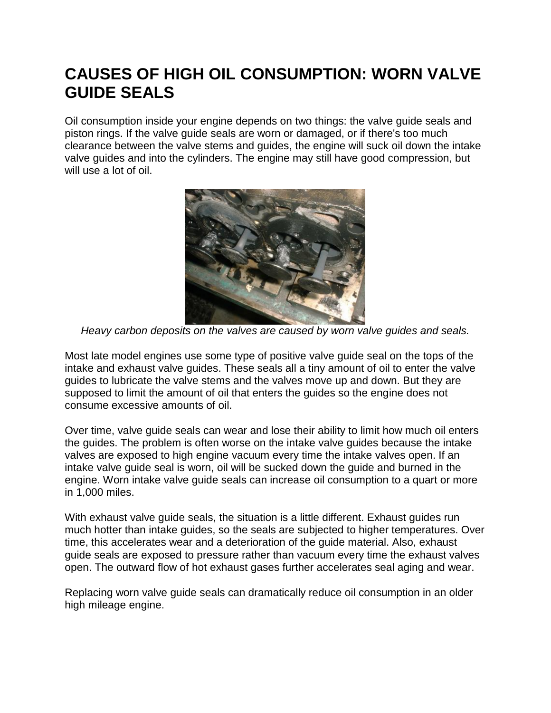# **CAUSES OF HIGH OIL CONSUMPTION: WORN VALVE GUIDE SEALS**

Oil consumption inside your engine depends on two things: the valve guide seals and piston rings. If the valve guide seals are worn or damaged, or if there's too much clearance between the valve stems and guides, the engine will suck oil down the intake valve guides and into the cylinders. The engine may still have good compression, but will use a lot of oil.



*Heavy carbon deposits on the valves are caused by worn valve guides and seals.*

Most late model engines use some type of positive valve guide seal on the tops of the intake and exhaust valve guides. These seals all a tiny amount of oil to enter the valve guides to lubricate the valve stems and the valves move up and down. But they are supposed to limit the amount of oil that enters the guides so the engine does not consume excessive amounts of oil.

Over time, valve guide seals can wear and lose their ability to limit how much oil enters the guides. The problem is often worse on the intake valve guides because the intake valves are exposed to high engine vacuum every time the intake valves open. If an intake valve guide seal is worn, oil will be sucked down the guide and burned in the engine. Worn intake valve guide seals can increase oil consumption to a quart or more in 1,000 miles.

With exhaust valve guide seals, the situation is a little different. Exhaust guides run much hotter than intake guides, so the seals are subjected to higher temperatures. Over time, this accelerates wear and a deterioration of the guide material. Also, exhaust guide seals are exposed to pressure rather than vacuum every time the exhaust valves open. The outward flow of hot exhaust gases further accelerates seal aging and wear.

Replacing worn valve guide seals can dramatically reduce oil consumption in an older high mileage engine.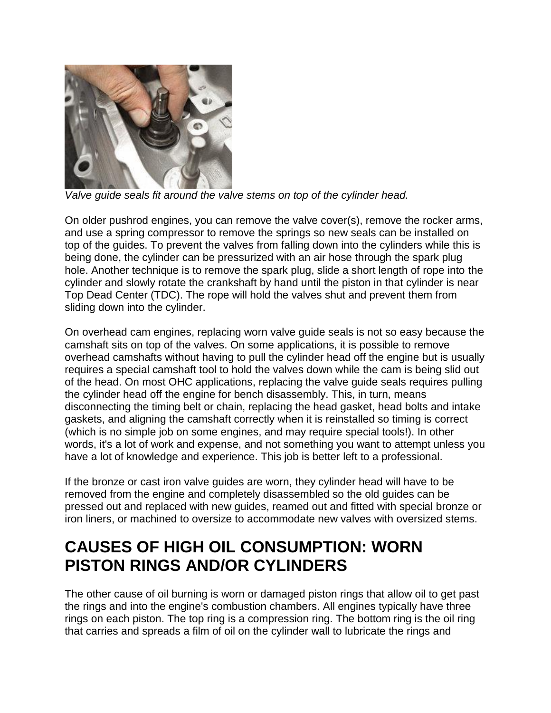

*Valve guide seals fit around the valve stems on top of the cylinder head.*

On older pushrod engines, you can remove the valve cover(s), remove the rocker arms, and use a spring compressor to remove the springs so new seals can be installed on top of the guides. To prevent the valves from falling down into the cylinders while this is being done, the cylinder can be pressurized with an air hose through the spark plug hole. Another technique is to remove the spark plug, slide a short length of rope into the cylinder and slowly rotate the crankshaft by hand until the piston in that cylinder is near Top Dead Center (TDC). The rope will hold the valves shut and prevent them from sliding down into the cylinder.

On overhead cam engines, replacing worn valve guide seals is not so easy because the camshaft sits on top of the valves. On some applications, it is possible to remove overhead camshafts without having to pull the cylinder head off the engine but is usually requires a special camshaft tool to hold the valves down while the cam is being slid out of the head. On most OHC applications, replacing the valve guide seals requires pulling the cylinder head off the engine for bench disassembly. This, in turn, means disconnecting the timing belt or chain, replacing the head gasket, head bolts and intake gaskets, and aligning the camshaft correctly when it is reinstalled so timing is correct (which is no simple job on some engines, and may require special tools!). In other words, it's a lot of work and expense, and not something you want to attempt unless you have a lot of knowledge and experience. This job is better left to a professional.

If the bronze or cast iron valve guides are worn, they cylinder head will have to be removed from the engine and completely disassembled so the old guides can be pressed out and replaced with new guides, reamed out and fitted with special bronze or iron liners, or machined to oversize to accommodate new valves with oversized stems.

# **CAUSES OF HIGH OIL CONSUMPTION: WORN PISTON RINGS AND/OR CYLINDERS**

The other cause of oil burning is worn or damaged piston rings that allow oil to get past the rings and into the engine's combustion chambers. All engines typically have three rings on each piston. The top ring is a compression ring. The bottom ring is the oil ring that carries and spreads a film of oil on the cylinder wall to lubricate the rings and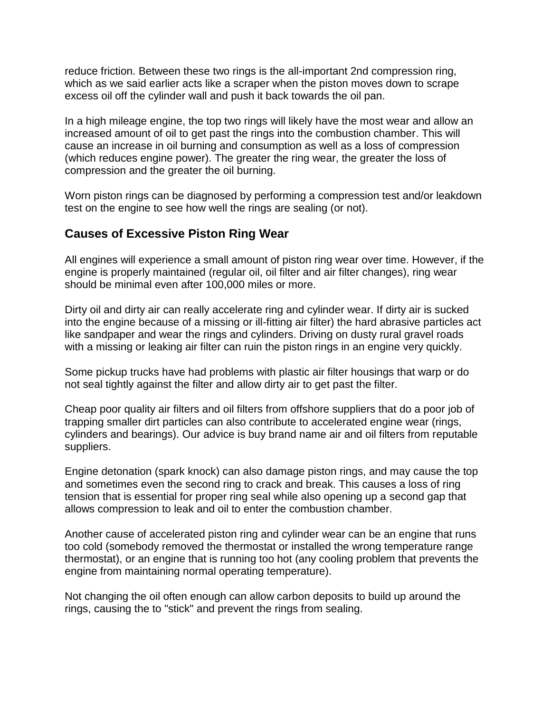reduce friction. Between these two rings is the all-important 2nd compression ring, which as we said earlier acts like a scraper when the piston moves down to scrape excess oil off the cylinder wall and push it back towards the oil pan.

In a high mileage engine, the top two rings will likely have the most wear and allow an increased amount of oil to get past the rings into the combustion chamber. This will cause an increase in oil burning and consumption as well as a loss of compression (which reduces engine power). The greater the ring wear, the greater the loss of compression and the greater the oil burning.

Worn piston rings can be diagnosed by performing a compression test and/or leakdown test on the engine to see how well the rings are sealing (or not).

#### **Causes of Excessive Piston Ring Wear**

All engines will experience a small amount of piston ring wear over time. However, if the engine is properly maintained (regular oil, oil filter and air filter changes), ring wear should be minimal even after 100,000 miles or more.

Dirty oil and dirty air can really accelerate ring and cylinder wear. If dirty air is sucked into the engine because of a missing or ill-fitting air filter) the hard abrasive particles act like sandpaper and wear the rings and cylinders. Driving on dusty rural gravel roads with a missing or leaking air filter can ruin the piston rings in an engine very quickly.

Some pickup trucks have had problems with plastic air filter housings that warp or do not seal tightly against the filter and allow dirty air to get past the filter.

Cheap poor quality air filters and oil filters from offshore suppliers that do a poor job of trapping smaller dirt particles can also contribute to accelerated engine wear (rings, cylinders and bearings). Our advice is buy brand name air and oil filters from reputable suppliers.

Engine detonation (spark knock) can also damage piston rings, and may cause the top and sometimes even the second ring to crack and break. This causes a loss of ring tension that is essential for proper ring seal while also opening up a second gap that allows compression to leak and oil to enter the combustion chamber.

Another cause of accelerated piston ring and cylinder wear can be an engine that runs too cold (somebody removed the thermostat or installed the wrong temperature range thermostat), or an engine that is running too hot (any cooling problem that prevents the engine from maintaining normal operating temperature).

Not changing the oil often enough can allow carbon deposits to build up around the rings, causing the to "stick" and prevent the rings from sealing.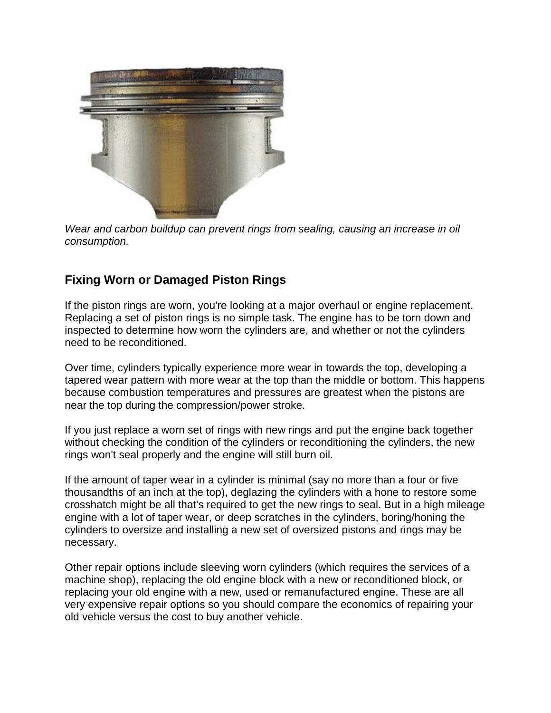

*Wear and carbon buildup can prevent rings from sealing, causing an increase in oil consumption.*

#### **Fixing Worn or Damaged Piston Rings**

If the piston rings are worn, you're looking at a major overhaul or engine replacement. Replacing a set of piston rings is no simple task. The engine has to be torn down and inspected to determine how worn the cylinders are, and whether or not the cylinders need to be reconditioned.

Over time, cylinders typically experience more wear in towards the top, developing a tapered wear pattern with more wear at the top than the middle or bottom. This happens because combustion temperatures and pressures are greatest when the pistons are near the top during the compression/power stroke.

If you just replace a worn set of rings with new rings and put the engine back together without checking the condition of the cylinders or reconditioning the cylinders, the new rings won't seal properly and the engine will still burn oil.

If the amount of taper wear in a cylinder is minimal (say no more than a four or five thousandths of an inch at the top), deglazing the cylinders with a hone to restore some crosshatch might be all that's required to get the new rings to seal. But in a high mileage engine with a lot of taper wear, or deep scratches in the cylinders, boring/honing the cylinders to oversize and installing a new set of oversized pistons and rings may be necessary.

Other repair options include sleeving worn cylinders (which requires the services of a machine shop), replacing the old engine block with a new or reconditioned block, or replacing your old engine with a new, used or remanufactured engine. These are all very expensive repair options so you should compare the economics of repairing your old vehicle versus the cost to buy another vehicle.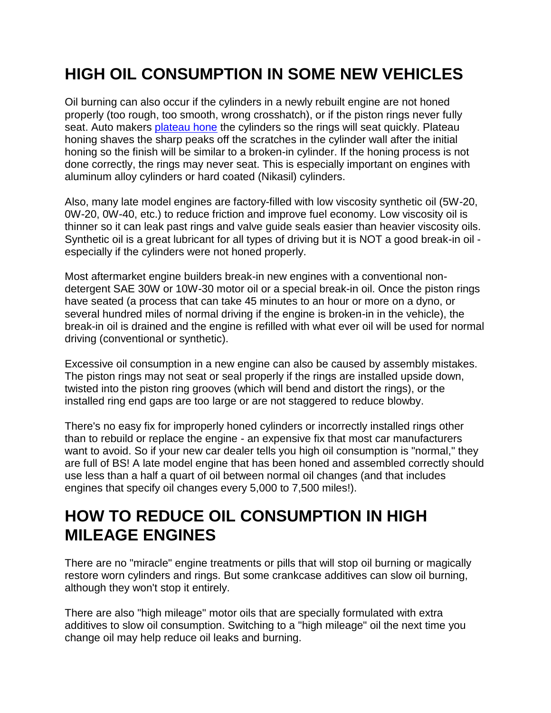# **HIGH OIL CONSUMPTION IN SOME NEW VEHICLES**

Oil burning can also occur if the cylinders in a newly rebuilt engine are not honed properly (too rough, too smooth, wrong crosshatch), or if the piston rings never fully seat. Auto makers [plateau hone](http://www.aa1car.com/library/plateau_finish.htm) the cylinders so the rings will seat quickly. Plateau honing shaves the sharp peaks off the scratches in the cylinder wall after the initial honing so the finish will be similar to a broken-in cylinder. If the honing process is not done correctly, the rings may never seat. This is especially important on engines with aluminum alloy cylinders or hard coated (Nikasil) cylinders.

Also, many late model engines are factory-filled with low viscosity synthetic oil (5W-20, 0W-20, 0W-40, etc.) to reduce friction and improve fuel economy. Low viscosity oil is thinner so it can leak past rings and valve guide seals easier than heavier viscosity oils. Synthetic oil is a great lubricant for all types of driving but it is NOT a good break-in oil especially if the cylinders were not honed properly.

Most aftermarket engine builders break-in new engines with a conventional nondetergent SAE 30W or 10W-30 motor oil or a special break-in oil. Once the piston rings have seated (a process that can take 45 minutes to an hour or more on a dyno, or several hundred miles of normal driving if the engine is broken-in in the vehicle), the break-in oil is drained and the engine is refilled with what ever oil will be used for normal driving (conventional or synthetic).

Excessive oil consumption in a new engine can also be caused by assembly mistakes. The piston rings may not seat or seal properly if the rings are installed upside down, twisted into the piston ring grooves (which will bend and distort the rings), or the installed ring end gaps are too large or are not staggered to reduce blowby.

There's no easy fix for improperly honed cylinders or incorrectly installed rings other than to rebuild or replace the engine - an expensive fix that most car manufacturers want to avoid. So if your new car dealer tells you high oil consumption is "normal," they are full of BS! A late model engine that has been honed and assembled correctly should use less than a half a quart of oil between normal oil changes (and that includes engines that specify oil changes every 5,000 to 7,500 miles!).

# **HOW TO REDUCE OIL CONSUMPTION IN HIGH MILEAGE ENGINES**

There are no "miracle" engine treatments or pills that will stop oil burning or magically restore worn cylinders and rings. But some crankcase additives can slow oil burning, although they won't stop it entirely.

There are also "high mileage" motor oils that are specially formulated with extra additives to slow oil consumption. Switching to a "high mileage" oil the next time you change oil may help reduce oil leaks and burning.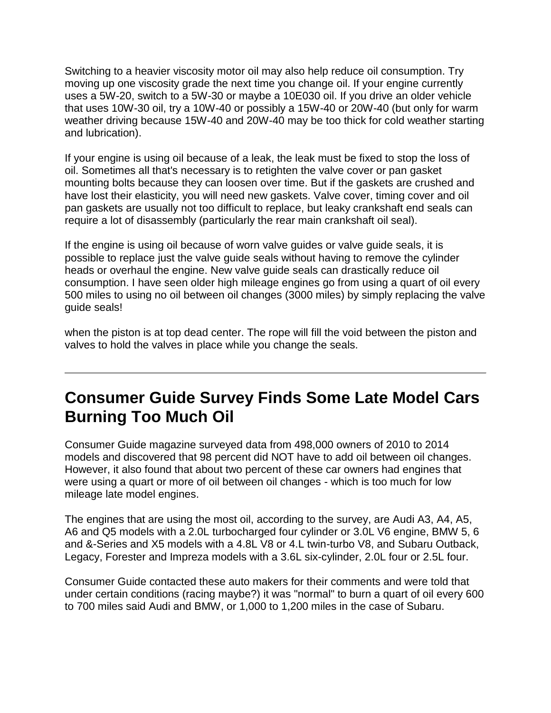Switching to a heavier viscosity motor oil may also help reduce oil consumption. Try moving up one viscosity grade the next time you change oil. If your engine currently uses a 5W-20, switch to a 5W-30 or maybe a 10E030 oil. If you drive an older vehicle that uses 10W-30 oil, try a 10W-40 or possibly a 15W-40 or 20W-40 (but only for warm weather driving because 15W-40 and 20W-40 may be too thick for cold weather starting and lubrication).

If your engine is using oil because of a leak, the leak must be fixed to stop the loss of oil. Sometimes all that's necessary is to retighten the valve cover or pan gasket mounting bolts because they can loosen over time. But if the gaskets are crushed and have lost their elasticity, you will need new gaskets. Valve cover, timing cover and oil pan gaskets are usually not too difficult to replace, but leaky crankshaft end seals can require a lot of disassembly (particularly the rear main crankshaft oil seal).

If the engine is using oil because of worn valve guides or valve guide seals, it is possible to replace just the valve guide seals without having to remove the cylinder heads or overhaul the engine. New valve guide seals can drastically reduce oil consumption. I have seen older high mileage engines go from using a quart of oil every 500 miles to using no oil between oil changes (3000 miles) by simply replacing the valve guide seals!

when the piston is at top dead center. The rope will fill the void between the piston and valves to hold the valves in place while you change the seals.

# **Consumer Guide Survey Finds Some Late Model Cars Burning Too Much Oil**

Consumer Guide magazine surveyed data from 498,000 owners of 2010 to 2014 models and discovered that 98 percent did NOT have to add oil between oil changes. However, it also found that about two percent of these car owners had engines that were using a quart or more of oil between oil changes - which is too much for low mileage late model engines.

The engines that are using the most oil, according to the survey, are Audi A3, A4, A5, A6 and Q5 models with a 2.0L turbocharged four cylinder or 3.0L V6 engine, BMW 5, 6 and &-Series and X5 models with a 4.8L V8 or 4.L twin-turbo V8, and Subaru Outback, Legacy, Forester and Impreza models with a 3.6L six-cylinder, 2.0L four or 2.5L four.

Consumer Guide contacted these auto makers for their comments and were told that under certain conditions (racing maybe?) it was "normal" to burn a quart of oil every 600 to 700 miles said Audi and BMW, or 1,000 to 1,200 miles in the case of Subaru.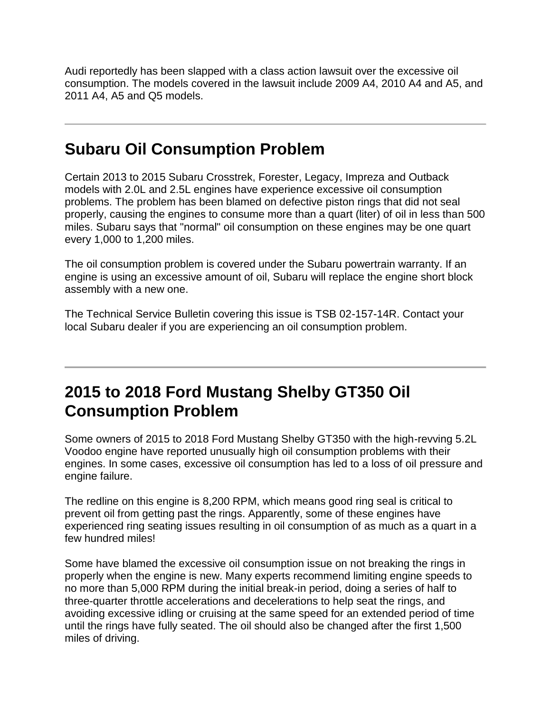Audi reportedly has been slapped with a class action lawsuit over the excessive oil consumption. The models covered in the lawsuit include 2009 A4, 2010 A4 and A5, and 2011 A4, A5 and Q5 models.

## **Subaru Oil Consumption Problem**

Certain 2013 to 2015 Subaru Crosstrek, Forester, Legacy, Impreza and Outback models with 2.0L and 2.5L engines have experience excessive oil consumption problems. The problem has been blamed on defective piston rings that did not seal properly, causing the engines to consume more than a quart (liter) of oil in less than 500 miles. Subaru says that "normal" oil consumption on these engines may be one quart every 1,000 to 1,200 miles.

The oil consumption problem is covered under the Subaru powertrain warranty. If an engine is using an excessive amount of oil, Subaru will replace the engine short block assembly with a new one.

The Technical Service Bulletin covering this issue is TSB 02-157-14R. Contact your local Subaru dealer if you are experiencing an oil consumption problem.

### **2015 to 2018 Ford Mustang Shelby GT350 Oil Consumption Problem**

Some owners of 2015 to 2018 Ford Mustang Shelby GT350 with the high-revving 5.2L Voodoo engine have reported unusually high oil consumption problems with their engines. In some cases, excessive oil consumption has led to a loss of oil pressure and engine failure.

The redline on this engine is 8,200 RPM, which means good ring seal is critical to prevent oil from getting past the rings. Apparently, some of these engines have experienced ring seating issues resulting in oil consumption of as much as a quart in a few hundred miles!

Some have blamed the excessive oil consumption issue on not breaking the rings in properly when the engine is new. Many experts recommend limiting engine speeds to no more than 5,000 RPM during the initial break-in period, doing a series of half to three-quarter throttle accelerations and decelerations to help seat the rings, and avoiding excessive idling or cruising at the same speed for an extended period of time until the rings have fully seated. The oil should also be changed after the first 1,500 miles of driving.